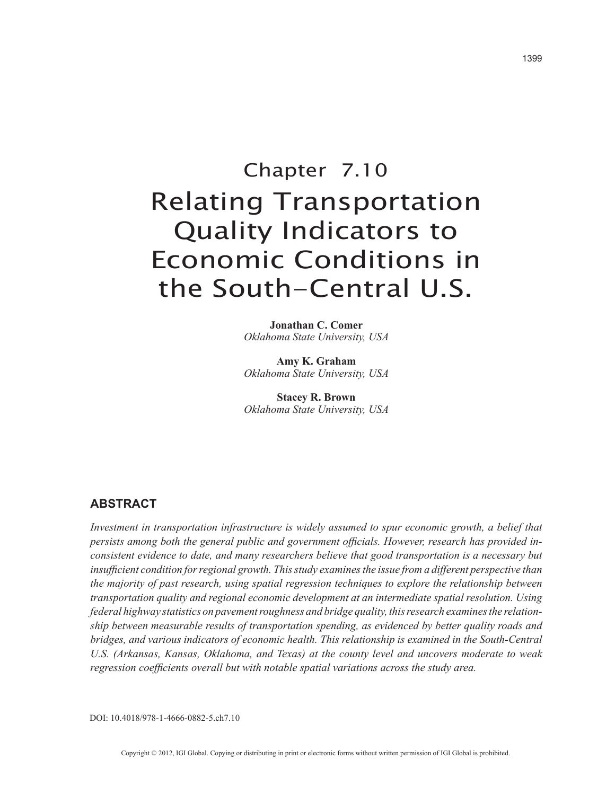# Chapter 7.10 Relating Transportation Quality Indicators to Economic Conditions
in the South-Central U.S.

**Jonathan C. Comer** *Oklahoma State University, USA*

**Amy K. Graham** *Oklahoma State University, USA*

**Stacey R. Brown** *Oklahoma State University, USA*

## **ABSTRACT**

*Investment in transportation infrastructure is widely assumed to spur economic growth, a belief that persists among both the general public and government officials. However, research has provided inconsistent evidence to date, and many researchers believe that good transportation is a necessary but insufficient condition for regional growth. This study examines the issue from a different perspective than the majority of past research, using spatial regression techniques to explore the relationship between transportation quality and regional economic development at an intermediate spatial resolution. Using federal highway statistics on pavement roughness and bridge quality, this research examines the relationship between measurable results of transportation spending, as evidenced by better quality roads and bridges, and various indicators of economic health. This relationship is examined in the South-Central U.S. (Arkansas, Kansas, Oklahoma, and Texas) at the county level and uncovers moderate to weak regression coefficients overall but with notable spatial variations across the study area.*

DOI: 10.4018/978-1-4666-0882-5.ch7.10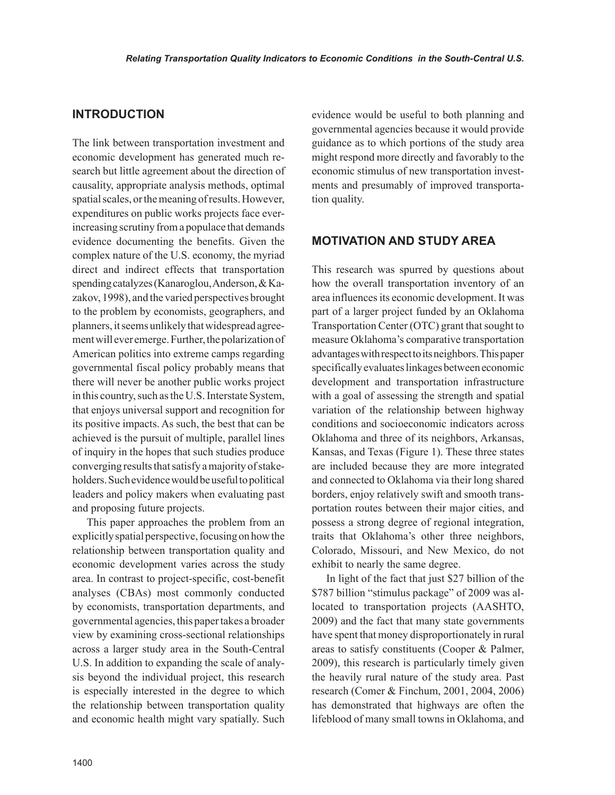# **INTRODUCTION**

The link between transportation investment and economic development has generated much research but little agreement about the direction of causality, appropriate analysis methods, optimal spatial scales, or the meaning of results. However, expenditures on public works projects face everincreasing scrutiny from a populace that demands evidence documenting the benefits. Given the complex nature of the U.S. economy, the myriad direct and indirect effects that transportation spending catalyzes (Kanaroglou, Anderson, & Kazakov, 1998), and the varied perspectives brought to the problem by economists, geographers, and planners, it seems unlikely that widespread agreement will ever emerge. Further, the polarization of American politics into extreme camps regarding governmental fiscal policy probably means that there will never be another public works project in this country, such as the U.S. Interstate System, that enjoys universal support and recognition for its positive impacts. As such, the best that can be achieved is the pursuit of multiple, parallel lines of inquiry in the hopes that such studies produce converging results that satisfy a majority of stakeholders. Such evidence would be useful to political leaders and policy makers when evaluating past and proposing future projects.

This paper approaches the problem from an explicitly spatial perspective, focusing on how the relationship between transportation quality and economic development varies across the study area. In contrast to project-specific, cost-benefit analyses (CBAs) most commonly conducted by economists, transportation departments, and governmental agencies, this paper takes a broader view by examining cross-sectional relationships across a larger study area in the South-Central U.S. In addition to expanding the scale of analysis beyond the individual project, this research is especially interested in the degree to which the relationship between transportation quality and economic health might vary spatially. Such evidence would be useful to both planning and governmental agencies because it would provide guidance as to which portions of the study area might respond more directly and favorably to the economic stimulus of new transportation investments and presumably of improved transportation quality.

# **MOTIVATION AND STUDY AREA**

This research was spurred by questions about how the overall transportation inventory of an area influences its economic development. It was part of a larger project funded by an Oklahoma Transportation Center (OTC) grant that sought to measure Oklahoma's comparative transportation advantages with respect to its neighbors. This paper specifically evaluates linkages between economic development and transportation infrastructure with a goal of assessing the strength and spatial variation of the relationship between highway conditions and socioeconomic indicators across Oklahoma and three of its neighbors, Arkansas, Kansas, and Texas (Figure 1). These three states are included because they are more integrated and connected to Oklahoma via their long shared borders, enjoy relatively swift and smooth transportation routes between their major cities, and possess a strong degree of regional integration, traits that Oklahoma's other three neighbors, Colorado, Missouri, and New Mexico, do not exhibit to nearly the same degree.

In light of the fact that just \$27 billion of the \$787 billion "stimulus package" of 2009 was allocated to transportation projects (AASHTO, 2009) and the fact that many state governments have spent that money disproportionately in rural areas to satisfy constituents (Cooper & Palmer, 2009), this research is particularly timely given the heavily rural nature of the study area. Past research (Comer & Finchum, 2001, 2004, 2006) has demonstrated that highways are often the lifeblood of many small towns in Oklahoma, and